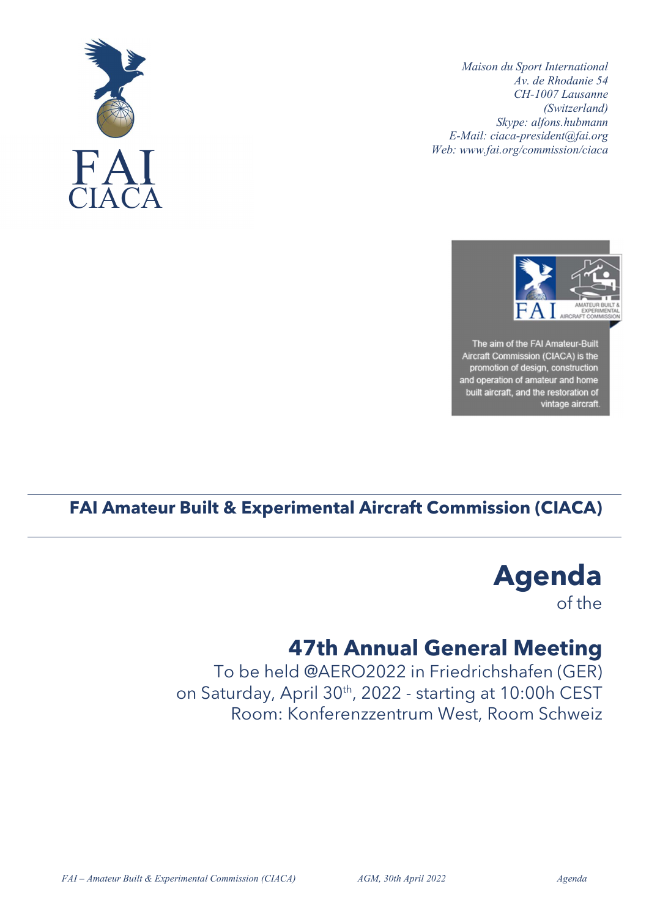





## FAI Amateur Built & Experimental Aircraft Commission (CIACA)

Agenda of the

## 47th Annual General Meeting

To be held @AERO2022 in Friedrichshafen (GER) on Saturday, April 30<sup>th</sup>, 2022 - starting at 10:00h CEST Room: Konferenzzentrum West, Room Schweiz